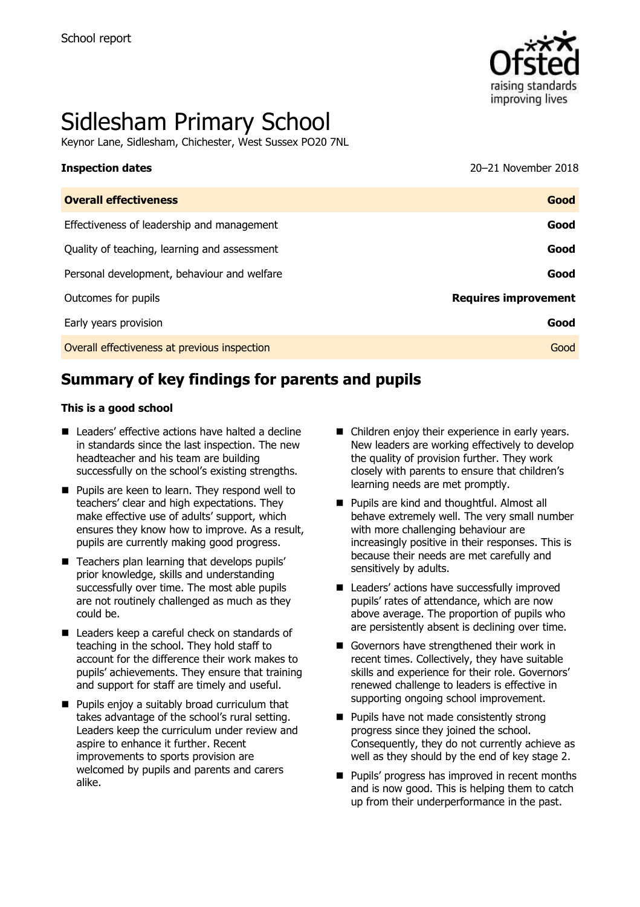

# Sidlesham Primary School

Keynor Lane, Sidlesham, Chichester, West Sussex PO20 7NL

#### **Inspection dates** 2018

| <b>Overall effectiveness</b>                 | Good                        |
|----------------------------------------------|-----------------------------|
| Effectiveness of leadership and management   | Good                        |
| Quality of teaching, learning and assessment | Good                        |
| Personal development, behaviour and welfare  | Good                        |
| Outcomes for pupils                          | <b>Requires improvement</b> |
| Early years provision                        | Good                        |
| Overall effectiveness at previous inspection | Good                        |
|                                              |                             |

# **Summary of key findings for parents and pupils**

#### **This is a good school**

- Leaders' effective actions have halted a decline in standards since the last inspection. The new headteacher and his team are building successfully on the school's existing strengths.
- **Pupils are keen to learn. They respond well to** teachers' clear and high expectations. They make effective use of adults' support, which ensures they know how to improve. As a result, pupils are currently making good progress.
- Teachers plan learning that develops pupils' prior knowledge, skills and understanding successfully over time. The most able pupils are not routinely challenged as much as they could be.
- Leaders keep a careful check on standards of teaching in the school. They hold staff to account for the difference their work makes to pupils' achievements. They ensure that training and support for staff are timely and useful.
- **Pupils enjoy a suitably broad curriculum that** takes advantage of the school's rural setting. Leaders keep the curriculum under review and aspire to enhance it further. Recent improvements to sports provision are welcomed by pupils and parents and carers alike.
- Children enjov their experience in early years. New leaders are working effectively to develop the quality of provision further. They work closely with parents to ensure that children's learning needs are met promptly.
- **Pupils are kind and thoughtful. Almost all** behave extremely well. The very small number with more challenging behaviour are increasingly positive in their responses. This is because their needs are met carefully and sensitively by adults.
- Leaders' actions have successfully improved pupils' rates of attendance, which are now above average. The proportion of pupils who are persistently absent is declining over time.
- Governors have strengthened their work in recent times. Collectively, they have suitable skills and experience for their role. Governors' renewed challenge to leaders is effective in supporting ongoing school improvement.
- **Pupils have not made consistently strong** progress since they joined the school. Consequently, they do not currently achieve as well as they should by the end of key stage 2.
- **Pupils' progress has improved in recent months** and is now good. This is helping them to catch up from their underperformance in the past.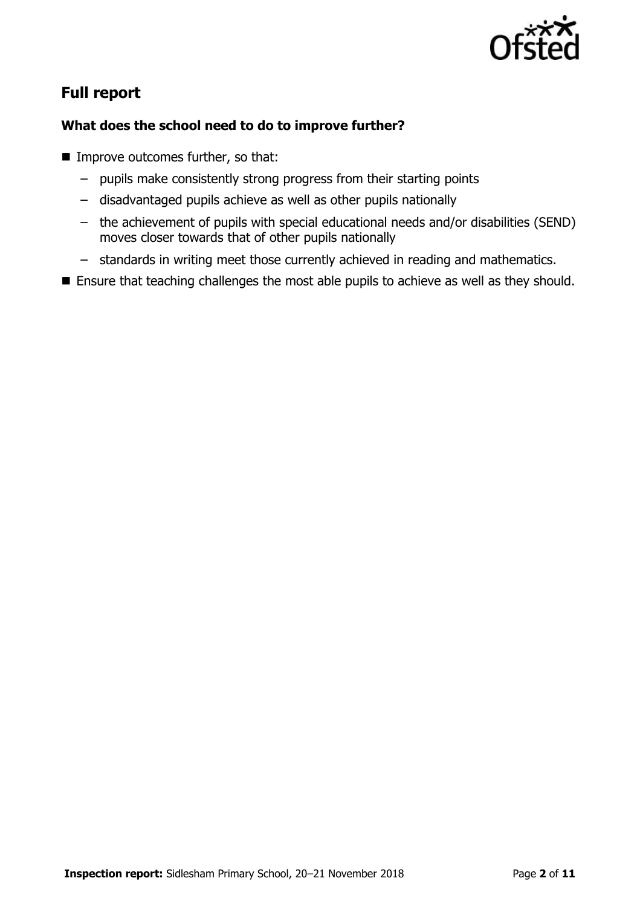

# **Full report**

### **What does the school need to do to improve further?**

- **Improve outcomes further, so that:** 
	- pupils make consistently strong progress from their starting points
	- disadvantaged pupils achieve as well as other pupils nationally
	- the achievement of pupils with special educational needs and/or disabilities (SEND) moves closer towards that of other pupils nationally
	- standards in writing meet those currently achieved in reading and mathematics.
- **Ensure that teaching challenges the most able pupils to achieve as well as they should.**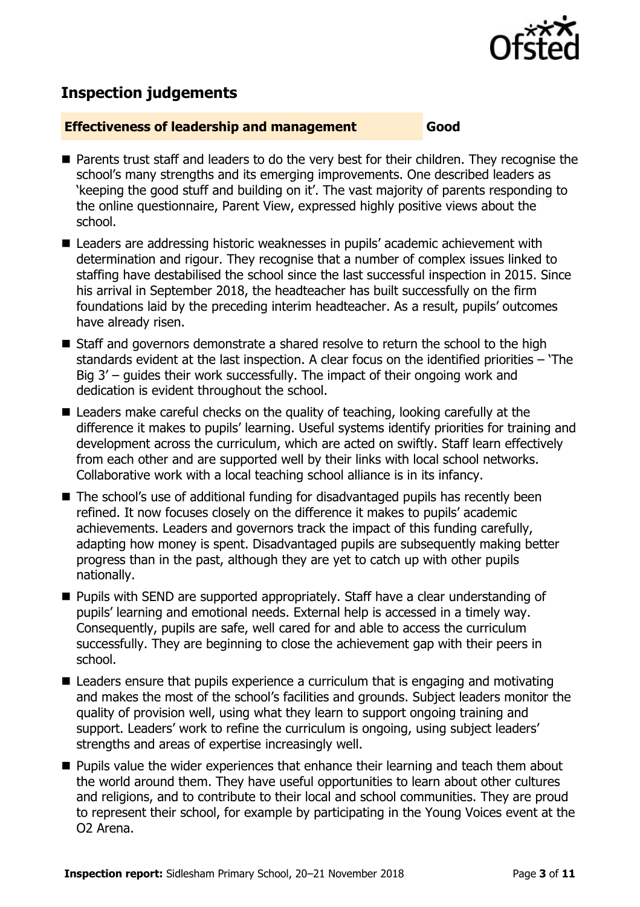

# **Inspection judgements**

#### **Effectiveness of leadership and management Good**

- **Parents trust staff and leaders to do the very best for their children. They recognise the** school's many strengths and its emerging improvements. One described leaders as 'keeping the good stuff and building on it'. The vast majority of parents responding to the online questionnaire, Parent View, expressed highly positive views about the school.
- Leaders are addressing historic weaknesses in pupils' academic achievement with determination and rigour. They recognise that a number of complex issues linked to staffing have destabilised the school since the last successful inspection in 2015. Since his arrival in September 2018, the headteacher has built successfully on the firm foundations laid by the preceding interim headteacher. As a result, pupils' outcomes have already risen.
- Staff and governors demonstrate a shared resolve to return the school to the high standards evident at the last inspection. A clear focus on the identified priorities – 'The Big 3' – guides their work successfully. The impact of their ongoing work and dedication is evident throughout the school.
- Leaders make careful checks on the quality of teaching, looking carefully at the difference it makes to pupils' learning. Useful systems identify priorities for training and development across the curriculum, which are acted on swiftly. Staff learn effectively from each other and are supported well by their links with local school networks. Collaborative work with a local teaching school alliance is in its infancy.
- The school's use of additional funding for disadvantaged pupils has recently been refined. It now focuses closely on the difference it makes to pupils' academic achievements. Leaders and governors track the impact of this funding carefully, adapting how money is spent. Disadvantaged pupils are subsequently making better progress than in the past, although they are yet to catch up with other pupils nationally.
- **Pupils with SEND are supported appropriately. Staff have a clear understanding of** pupils' learning and emotional needs. External help is accessed in a timely way. Consequently, pupils are safe, well cared for and able to access the curriculum successfully. They are beginning to close the achievement gap with their peers in school.
- Leaders ensure that pupils experience a curriculum that is engaging and motivating and makes the most of the school's facilities and grounds. Subject leaders monitor the quality of provision well, using what they learn to support ongoing training and support. Leaders' work to refine the curriculum is ongoing, using subject leaders' strengths and areas of expertise increasingly well.
- $\blacksquare$  Pupils value the wider experiences that enhance their learning and teach them about the world around them. They have useful opportunities to learn about other cultures and religions, and to contribute to their local and school communities. They are proud to represent their school, for example by participating in the Young Voices event at the O2 Arena.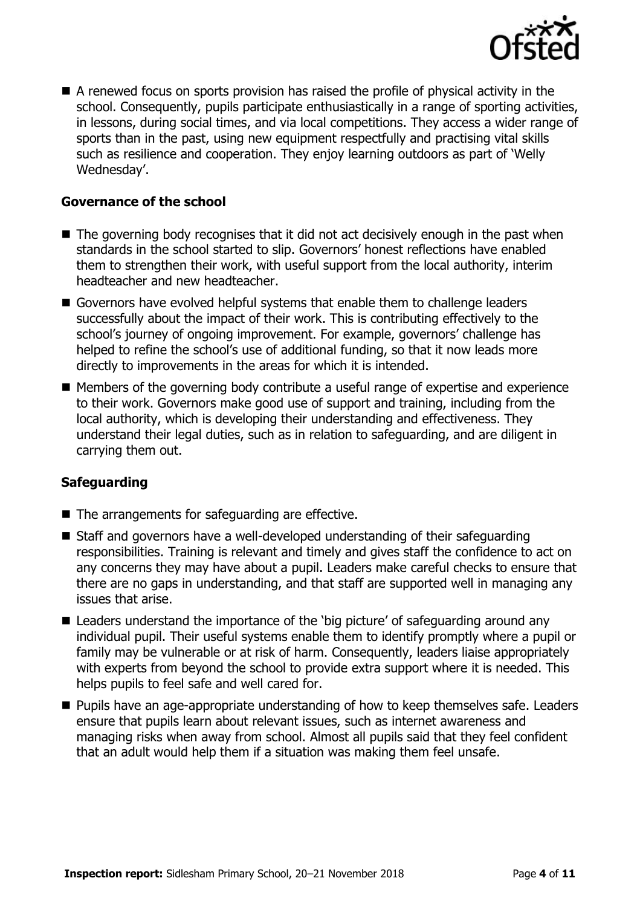

 A renewed focus on sports provision has raised the profile of physical activity in the school. Consequently, pupils participate enthusiastically in a range of sporting activities, in lessons, during social times, and via local competitions. They access a wider range of sports than in the past, using new equipment respectfully and practising vital skills such as resilience and cooperation. They enjoy learning outdoors as part of 'Welly Wednesday'.

#### **Governance of the school**

- The governing body recognises that it did not act decisively enough in the past when standards in the school started to slip. Governors' honest reflections have enabled them to strengthen their work, with useful support from the local authority, interim headteacher and new headteacher.
- Governors have evolved helpful systems that enable them to challenge leaders successfully about the impact of their work. This is contributing effectively to the school's journey of ongoing improvement. For example, governors' challenge has helped to refine the school's use of additional funding, so that it now leads more directly to improvements in the areas for which it is intended.
- Members of the governing body contribute a useful range of expertise and experience to their work. Governors make good use of support and training, including from the local authority, which is developing their understanding and effectiveness. They understand their legal duties, such as in relation to safeguarding, and are diligent in carrying them out.

### **Safeguarding**

- $\blacksquare$  The arrangements for safeguarding are effective.
- Staff and governors have a well-developed understanding of their safeguarding responsibilities. Training is relevant and timely and gives staff the confidence to act on any concerns they may have about a pupil. Leaders make careful checks to ensure that there are no gaps in understanding, and that staff are supported well in managing any issues that arise.
- Leaders understand the importance of the 'big picture' of safeguarding around any individual pupil. Their useful systems enable them to identify promptly where a pupil or family may be vulnerable or at risk of harm. Consequently, leaders liaise appropriately with experts from beyond the school to provide extra support where it is needed. This helps pupils to feel safe and well cared for.
- **Pupils have an age-appropriate understanding of how to keep themselves safe. Leaders** ensure that pupils learn about relevant issues, such as internet awareness and managing risks when away from school. Almost all pupils said that they feel confident that an adult would help them if a situation was making them feel unsafe.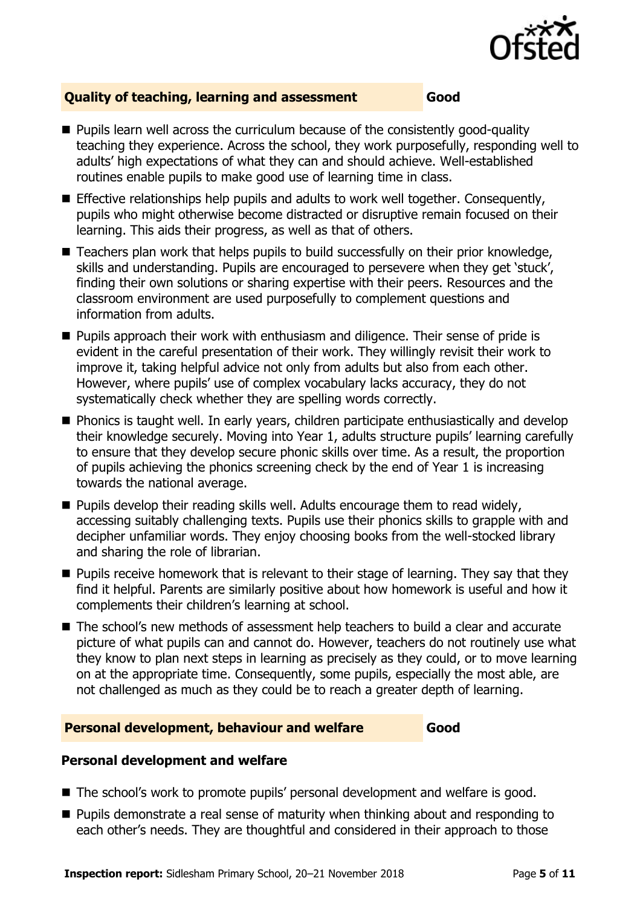

### **Quality of teaching, learning and assessment Good**

- Pupils learn well across the curriculum because of the consistently good-quality teaching they experience. Across the school, they work purposefully, responding well to adults' high expectations of what they can and should achieve. Well-established routines enable pupils to make good use of learning time in class.
- Effective relationships help pupils and adults to work well together. Consequently, pupils who might otherwise become distracted or disruptive remain focused on their learning. This aids their progress, as well as that of others.
- $\blacksquare$  Teachers plan work that helps pupils to build successfully on their prior knowledge, skills and understanding. Pupils are encouraged to persevere when they get 'stuck', finding their own solutions or sharing expertise with their peers. Resources and the classroom environment are used purposefully to complement questions and information from adults.
- **Pupils approach their work with enthusiasm and diligence. Their sense of pride is** evident in the careful presentation of their work. They willingly revisit their work to improve it, taking helpful advice not only from adults but also from each other. However, where pupils' use of complex vocabulary lacks accuracy, they do not systematically check whether they are spelling words correctly.
- **Phonics is taught well. In early years, children participate enthusiastically and develop** their knowledge securely. Moving into Year 1, adults structure pupils' learning carefully to ensure that they develop secure phonic skills over time. As a result, the proportion of pupils achieving the phonics screening check by the end of Year 1 is increasing towards the national average.
- **Pupils develop their reading skills well. Adults encourage them to read widely,** accessing suitably challenging texts. Pupils use their phonics skills to grapple with and decipher unfamiliar words. They enjoy choosing books from the well-stocked library and sharing the role of librarian.
- **Pupils receive homework that is relevant to their stage of learning. They say that they** find it helpful. Parents are similarly positive about how homework is useful and how it complements their children's learning at school.
- The school's new methods of assessment help teachers to build a clear and accurate picture of what pupils can and cannot do. However, teachers do not routinely use what they know to plan next steps in learning as precisely as they could, or to move learning on at the appropriate time. Consequently, some pupils, especially the most able, are not challenged as much as they could be to reach a greater depth of learning.

#### **Personal development, behaviour and welfare Good**

#### **Personal development and welfare**

- The school's work to promote pupils' personal development and welfare is good.
- **Pupils demonstrate a real sense of maturity when thinking about and responding to** each other's needs. They are thoughtful and considered in their approach to those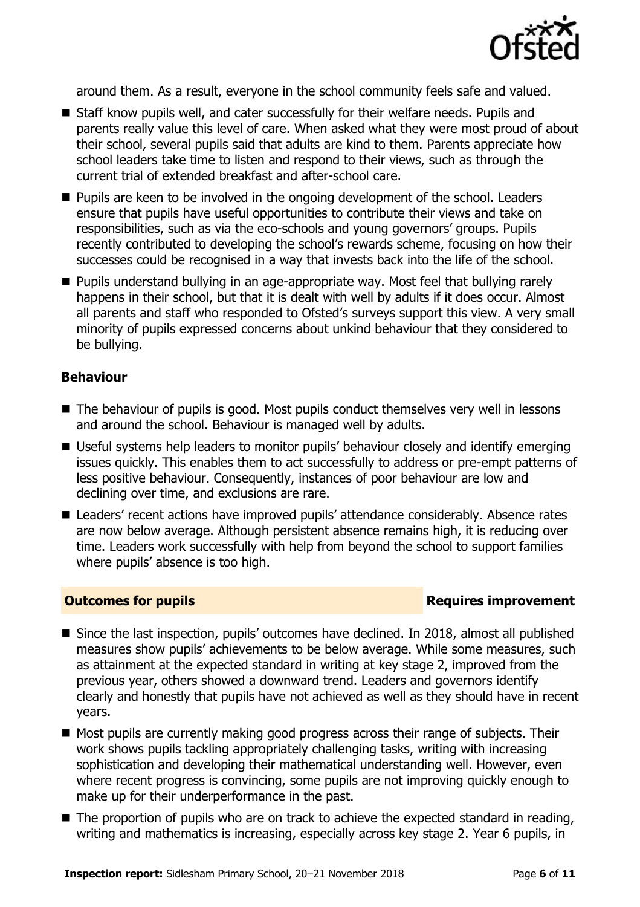

around them. As a result, everyone in the school community feels safe and valued.

- Staff know pupils well, and cater successfully for their welfare needs. Pupils and parents really value this level of care. When asked what they were most proud of about their school, several pupils said that adults are kind to them. Parents appreciate how school leaders take time to listen and respond to their views, such as through the current trial of extended breakfast and after-school care.
- **Pupils are keen to be involved in the ongoing development of the school. Leaders** ensure that pupils have useful opportunities to contribute their views and take on responsibilities, such as via the eco-schools and young governors' groups. Pupils recently contributed to developing the school's rewards scheme, focusing on how their successes could be recognised in a way that invests back into the life of the school.
- Pupils understand bullying in an age-appropriate way. Most feel that bullying rarely happens in their school, but that it is dealt with well by adults if it does occur. Almost all parents and staff who responded to Ofsted's surveys support this view. A very small minority of pupils expressed concerns about unkind behaviour that they considered to be bullying.

#### **Behaviour**

- The behaviour of pupils is good. Most pupils conduct themselves very well in lessons and around the school. Behaviour is managed well by adults.
- Useful systems help leaders to monitor pupils' behaviour closely and identify emerging issues quickly. This enables them to act successfully to address or pre-empt patterns of less positive behaviour. Consequently, instances of poor behaviour are low and declining over time, and exclusions are rare.
- Leaders' recent actions have improved pupils' attendance considerably. Absence rates are now below average. Although persistent absence remains high, it is reducing over time. Leaders work successfully with help from beyond the school to support families where pupils' absence is too high.

### **Outcomes for pupils Requires improvement**

- Since the last inspection, pupils' outcomes have declined. In 2018, almost all published measures show pupils' achievements to be below average. While some measures, such as attainment at the expected standard in writing at key stage 2, improved from the previous year, others showed a downward trend. Leaders and governors identify clearly and honestly that pupils have not achieved as well as they should have in recent years.
- Most pupils are currently making good progress across their range of subjects. Their work shows pupils tackling appropriately challenging tasks, writing with increasing sophistication and developing their mathematical understanding well. However, even where recent progress is convincing, some pupils are not improving quickly enough to make up for their underperformance in the past.
- The proportion of pupils who are on track to achieve the expected standard in reading, writing and mathematics is increasing, especially across key stage 2. Year 6 pupils, in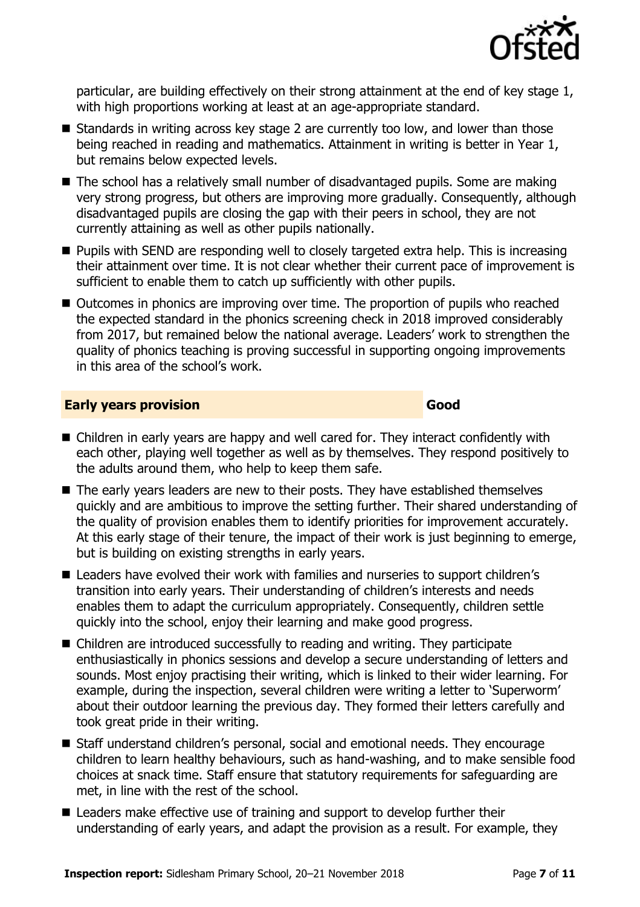

particular, are building effectively on their strong attainment at the end of key stage 1, with high proportions working at least at an age-appropriate standard.

- $\blacksquare$  Standards in writing across key stage 2 are currently too low, and lower than those being reached in reading and mathematics. Attainment in writing is better in Year 1, but remains below expected levels.
- The school has a relatively small number of disadvantaged pupils. Some are making very strong progress, but others are improving more gradually. Consequently, although disadvantaged pupils are closing the gap with their peers in school, they are not currently attaining as well as other pupils nationally.
- **Pupils with SEND are responding well to closely targeted extra help. This is increasing** their attainment over time. It is not clear whether their current pace of improvement is sufficient to enable them to catch up sufficiently with other pupils.
- Outcomes in phonics are improving over time. The proportion of pupils who reached the expected standard in the phonics screening check in 2018 improved considerably from 2017, but remained below the national average. Leaders' work to strengthen the quality of phonics teaching is proving successful in supporting ongoing improvements in this area of the school's work.

#### **Early years provision Good Good**

- Children in early years are happy and well cared for. They interact confidently with each other, playing well together as well as by themselves. They respond positively to the adults around them, who help to keep them safe.
- The early years leaders are new to their posts. They have established themselves quickly and are ambitious to improve the setting further. Their shared understanding of the quality of provision enables them to identify priorities for improvement accurately. At this early stage of their tenure, the impact of their work is just beginning to emerge, but is building on existing strengths in early years.
- Leaders have evolved their work with families and nurseries to support children's transition into early years. Their understanding of children's interests and needs enables them to adapt the curriculum appropriately. Consequently, children settle quickly into the school, enjoy their learning and make good progress.
- Children are introduced successfully to reading and writing. They participate enthusiastically in phonics sessions and develop a secure understanding of letters and sounds. Most enjoy practising their writing, which is linked to their wider learning. For example, during the inspection, several children were writing a letter to 'Superworm' about their outdoor learning the previous day. They formed their letters carefully and took great pride in their writing.
- Staff understand children's personal, social and emotional needs. They encourage children to learn healthy behaviours, such as hand-washing, and to make sensible food choices at snack time. Staff ensure that statutory requirements for safeguarding are met, in line with the rest of the school.
- Leaders make effective use of training and support to develop further their understanding of early years, and adapt the provision as a result. For example, they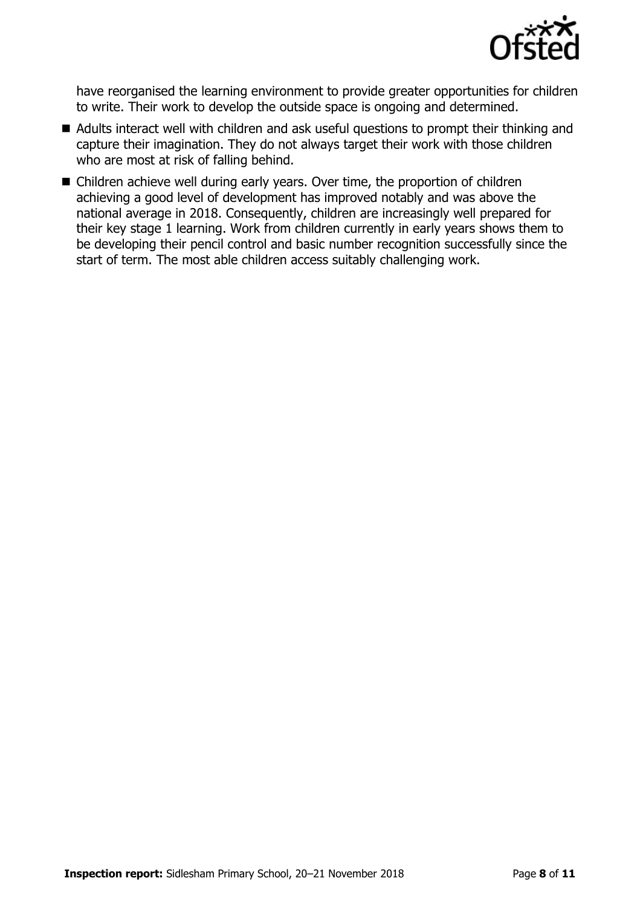

have reorganised the learning environment to provide greater opportunities for children to write. Their work to develop the outside space is ongoing and determined.

- Adults interact well with children and ask useful questions to prompt their thinking and capture their imagination. They do not always target their work with those children who are most at risk of falling behind.
- Children achieve well during early years. Over time, the proportion of children achieving a good level of development has improved notably and was above the national average in 2018. Consequently, children are increasingly well prepared for their key stage 1 learning. Work from children currently in early years shows them to be developing their pencil control and basic number recognition successfully since the start of term. The most able children access suitably challenging work.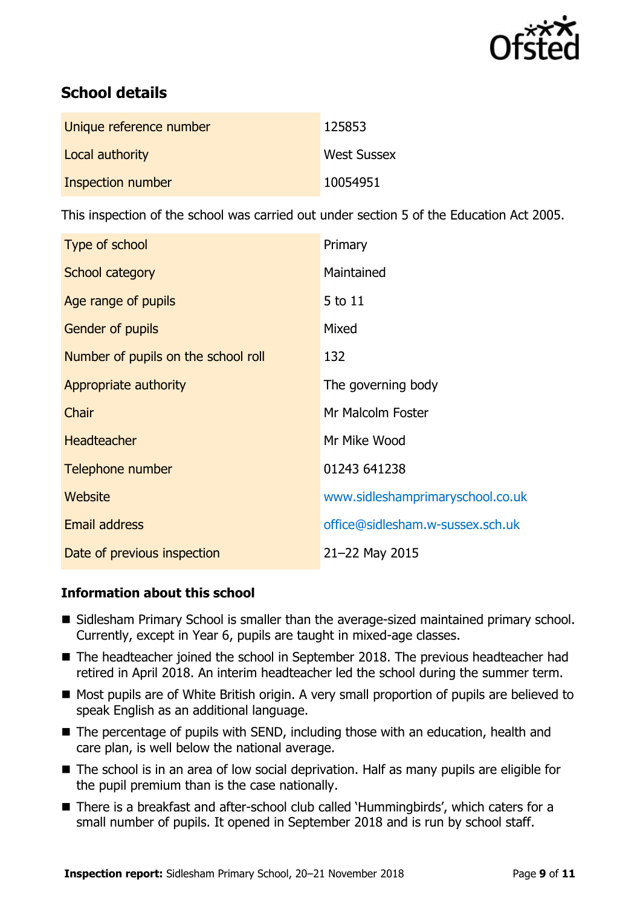

# **School details**

| Unique reference number | 125853             |
|-------------------------|--------------------|
| Local authority         | <b>West Sussex</b> |
| Inspection number       | 10054951           |

This inspection of the school was carried out under section 5 of the Education Act 2005.

| Type of school                      | Primary                          |
|-------------------------------------|----------------------------------|
| School category                     | Maintained                       |
| Age range of pupils                 | 5 to 11                          |
| <b>Gender of pupils</b>             | Mixed                            |
| Number of pupils on the school roll | 132                              |
| Appropriate authority               | The governing body               |
| Chair                               | Mr Malcolm Foster                |
| <b>Headteacher</b>                  | Mr Mike Wood                     |
| Telephone number                    | 01243 641238                     |
| Website                             | www.sidleshamprimaryschool.co.uk |
| Email address                       | office@sidlesham.w-sussex.sch.uk |
| Date of previous inspection         | 21-22 May 2015                   |

### **Information about this school**

- Sidlesham Primary School is smaller than the average-sized maintained primary school. Currently, except in Year 6, pupils are taught in mixed-age classes.
- The headteacher joined the school in September 2018. The previous headteacher had retired in April 2018. An interim headteacher led the school during the summer term.
- Most pupils are of White British origin. A very small proportion of pupils are believed to speak English as an additional language.
- The percentage of pupils with SEND, including those with an education, health and care plan, is well below the national average.
- The school is in an area of low social deprivation. Half as many pupils are eligible for the pupil premium than is the case nationally.
- There is a breakfast and after-school club called 'Hummingbirds', which caters for a small number of pupils. It opened in September 2018 and is run by school staff.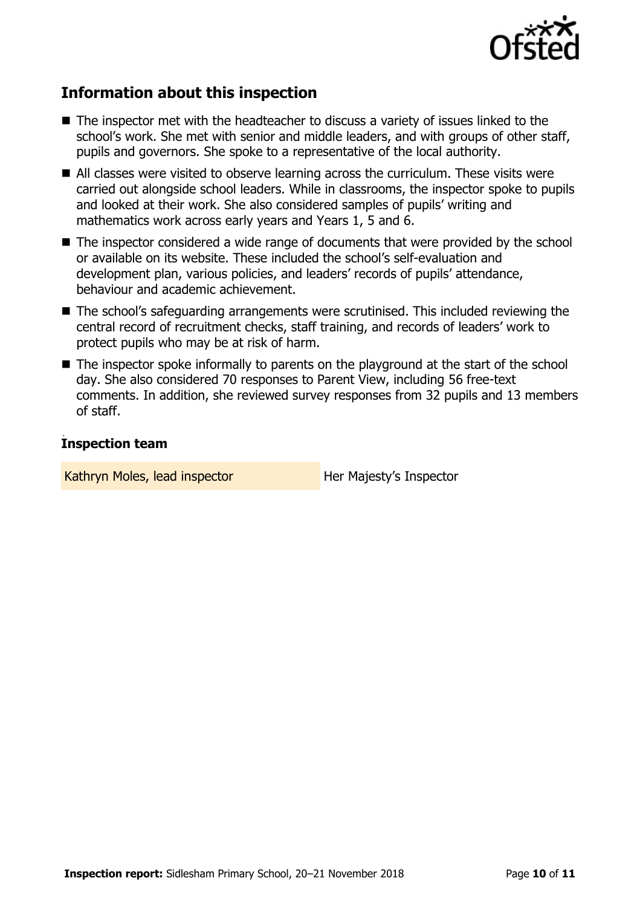

# **Information about this inspection**

- The inspector met with the headteacher to discuss a variety of issues linked to the school's work. She met with senior and middle leaders, and with groups of other staff, pupils and governors. She spoke to a representative of the local authority.
- All classes were visited to observe learning across the curriculum. These visits were carried out alongside school leaders. While in classrooms, the inspector spoke to pupils and looked at their work. She also considered samples of pupils' writing and mathematics work across early years and Years 1, 5 and 6.
- The inspector considered a wide range of documents that were provided by the school or available on its website. These included the school's self-evaluation and development plan, various policies, and leaders' records of pupils' attendance, behaviour and academic achievement.
- The school's safeguarding arrangements were scrutinised. This included reviewing the central record of recruitment checks, staff training, and records of leaders' work to protect pupils who may be at risk of harm.
- The inspector spoke informally to parents on the playground at the start of the school day. She also considered 70 responses to Parent View, including 56 free-text comments. In addition, she reviewed survey responses from 32 pupils and 13 members of staff.

#### , **Inspection team**

Kathryn Moles, lead inspector **Her Majesty's Inspector**